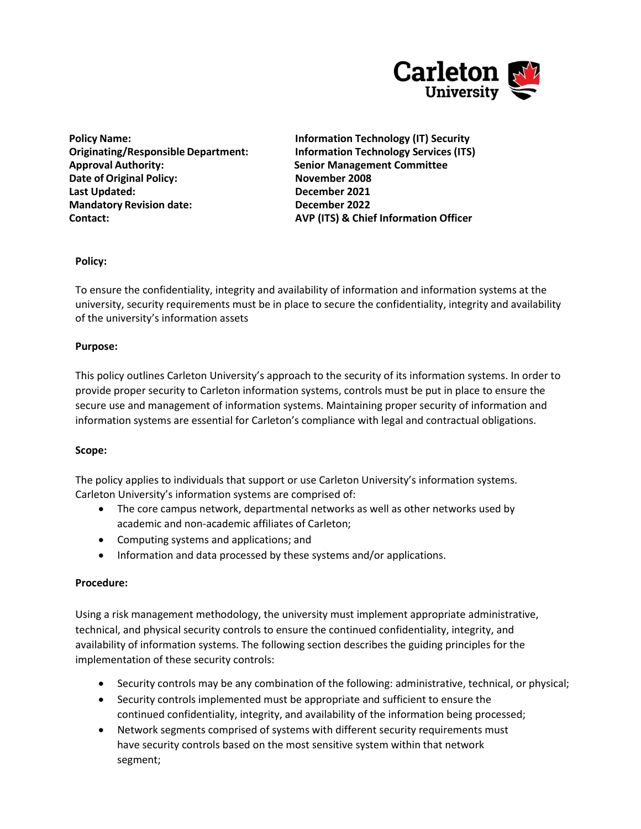

**Policy Name: Information Technology (IT) Security Originating/Responsible Department: Information Technology Services (ITS) Approval Authority: Senior Management Committee Date of Original Policy: November 2008 Last Updated: December 2021 Mandatory Revision date: December 2022** 

**Contact: AVP (ITS) & Chief Information Officer**

# **Policy:**

To ensure the confidentiality, integrity and availability of information and information systems at the university, security requirements must be in place to secure the confidentiality, integrity and availability of the university's information assets

## **Purpose:**

This policy outlines Carleton University's approach to the security of its information systems. In order to provide proper security to Carleton information systems, controls must be put in place to ensure the secure use and management of information systems. Maintaining proper security of information and information systems are essential for Carleton's compliance with legal and contractual obligations.

## **Scope:**

The policy applies to individuals that support or use Carleton University's information systems. Carleton University's information systems are comprised of:

- The core campus network, departmental networks as well as other networks used by academic and non-academic affiliates of Carleton;
- Computing systems and applications; and
- Information and data processed by these systems and/or applications.

## **Procedure:**

Using a risk management methodology, the university must implement appropriate administrative, technical, and physical security controls to ensure the continued confidentiality, integrity, and availability of information systems. The following section describes the guiding principles for the implementation of these security controls:

- Security controls may be any combination of the following: administrative, technical, or physical;
- Security controls implemented must be appropriate and sufficient to ensure the continued confidentiality, integrity, and availability of the information being processed;
- Network segments comprised of systems with different security requirements must have security controls based on the most sensitive system within that network segment;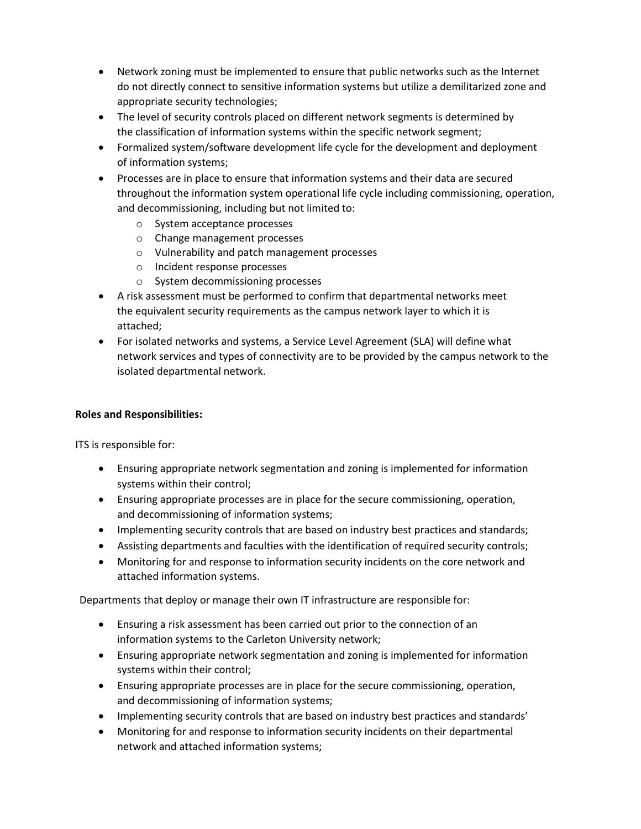- Network zoning must be implemented to ensure that public networks such as the Internet do not directly connect to sensitive information systems but utilize a demilitarized zone and appropriate security technologies;
- The level of security controls placed on different network segments is determined by the classification of information systems within the specific network segment;
- Formalized system/software development life cycle for the development and deployment of information systems;
- Processes are in place to ensure that information systems and their data are secured throughout the information system operational life cycle including commissioning, operation, and decommissioning, including but not limited to:
	- o System acceptance processes
	- o Change management processes
	- o Vulnerability and patch management processes
	- o Incident response processes
	- o System decommissioning processes
- A risk assessment must be performed to confirm that departmental networks meet the equivalent security requirements as the campus network layer to which it is attached;
- For isolated networks and systems, a Service Level Agreement (SLA) will define what network services and types of connectivity are to be provided by the campus network to the isolated departmental network.

# **Roles and Responsibilities:**

ITS is responsible for:

- Ensuring appropriate network segmentation and zoning is implemented for information systems within their control;
- Ensuring appropriate processes are in place for the secure commissioning, operation, and decommissioning of information systems;
- Implementing security controls that are based on industry best practices and standards;
- Assisting departments and faculties with the identification of required security controls;
- Monitoring for and response to information security incidents on the core network and attached information systems.

Departments that deploy or manage their own IT infrastructure are responsible for:

- Ensuring a risk assessment has been carried out prior to the connection of an information systems to the Carleton University network;
- Ensuring appropriate network segmentation and zoning is implemented for information systems within their control;
- Ensuring appropriate processes are in place for the secure commissioning, operation, and decommissioning of information systems;
- Implementing security controls that are based on industry best practices and standards'
- Monitoring for and response to information security incidents on their departmental network and attached information systems;